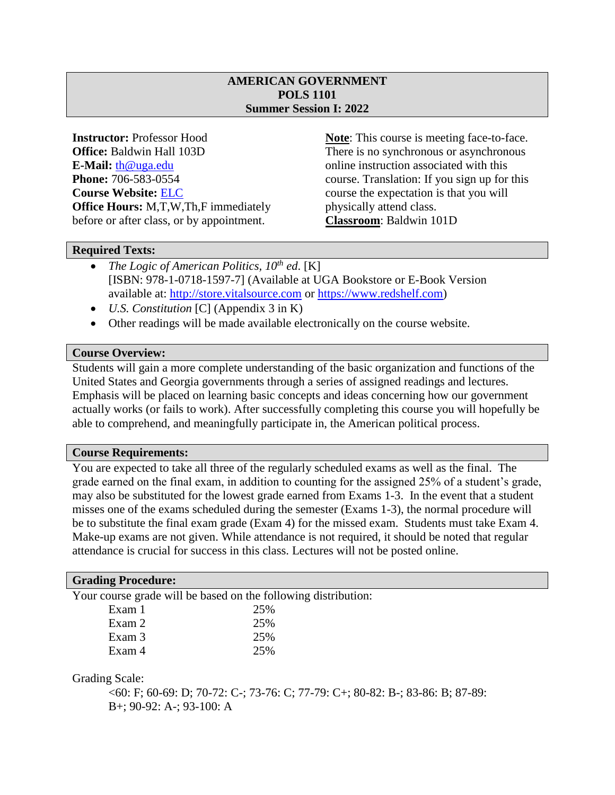# **AMERICAN GOVERNMENT POLS 1101 Summer Session I: 2022**

**E-Mail:** [th@uga.edu](mailto:th@uga.edu) online instruction associated with this **Course Website: [ELC](https://uga.view.usg.edu/)** course the expectation is that you will **Office Hours:** M,T,W,Th,F immediately physically attend class. before or after class, or by appointment. **Classroom**: Baldwin 101D

**Instructor:** Professor Hood **Note**: This course is meeting face-to-face. **Office:** Baldwin Hall 103D There is no synchronous or asynchronous **Phone:** 706-583-0554 course. Translation: If you sign up for this

## **Required Texts:**

- *The Logic of American Politics, 10th ed*. [K] [ISBN: 978-1-0718-1597-7] (Available at UGA Bookstore or E-Book Version available at: [http://store.vitalsource.com](http://store.vitalsource.com/) or [https://www.redshelf.com\)](https://www.redshelf.com/)
- *U.S. Constitution* [C] (Appendix 3 in K)
- Other readings will be made available electronically on the course website.

# **Course Overview:**

Students will gain a more complete understanding of the basic organization and functions of the United States and Georgia governments through a series of assigned readings and lectures. Emphasis will be placed on learning basic concepts and ideas concerning how our government actually works (or fails to work). After successfully completing this course you will hopefully be able to comprehend, and meaningfully participate in, the American political process.

### **Course Requirements:**

You are expected to take all three of the regularly scheduled exams as well as the final. The grade earned on the final exam, in addition to counting for the assigned 25% of a student's grade, may also be substituted for the lowest grade earned from Exams 1-3. In the event that a student misses one of the exams scheduled during the semester (Exams 1-3), the normal procedure will be to substitute the final exam grade (Exam 4) for the missed exam. Students must take Exam 4. Make-up exams are not given. While attendance is not required, it should be noted that regular attendance is crucial for success in this class. Lectures will not be posted online.

### **Grading Procedure:**

Your course grade will be based on the following distribution:

| Exam 1 | 25% |
|--------|-----|
| Exam 2 | 25% |
| Exam 3 | 25% |
| Exam 4 | 25% |

Grading Scale:

<60: F; 60-69: D; 70-72: C-; 73-76: C; 77-79: C+; 80-82: B-; 83-86: B; 87-89: B+; 90-92: A-; 93-100: A